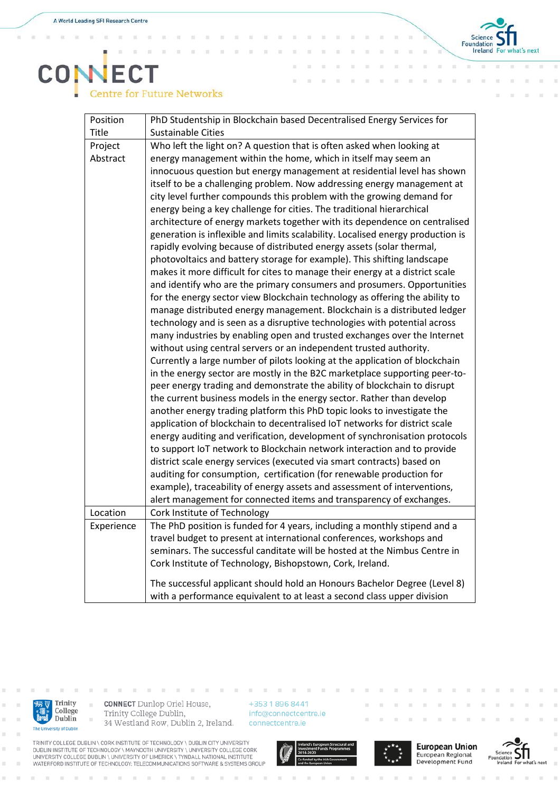$\alpha$ i. x

x



## **CONECT Centre for Future Networks**

| Position   | PhD Studentship in Blockchain based Decentralised Energy Services for                                                                                 |
|------------|-------------------------------------------------------------------------------------------------------------------------------------------------------|
| Title      | <b>Sustainable Cities</b>                                                                                                                             |
| Project    | Who left the light on? A question that is often asked when looking at                                                                                 |
| Abstract   | energy management within the home, which in itself may seem an                                                                                        |
|            | innocuous question but energy management at residential level has shown                                                                               |
|            | itself to be a challenging problem. Now addressing energy management at                                                                               |
|            | city level further compounds this problem with the growing demand for                                                                                 |
|            | energy being a key challenge for cities. The traditional hierarchical                                                                                 |
|            | architecture of energy markets together with its dependence on centralised                                                                            |
|            | generation is inflexible and limits scalability. Localised energy production is                                                                       |
|            | rapidly evolving because of distributed energy assets (solar thermal,                                                                                 |
|            | photovoltaics and battery storage for example). This shifting landscape                                                                               |
|            | makes it more difficult for cites to manage their energy at a district scale                                                                          |
|            | and identify who are the primary consumers and prosumers. Opportunities                                                                               |
|            | for the energy sector view Blockchain technology as offering the ability to                                                                           |
|            | manage distributed energy management. Blockchain is a distributed ledger                                                                              |
|            | technology and is seen as a disruptive technologies with potential across                                                                             |
|            | many industries by enabling open and trusted exchanges over the Internet                                                                              |
|            | without using central servers or an independent trusted authority.                                                                                    |
|            | Currently a large number of pilots looking at the application of blockchain                                                                           |
|            | in the energy sector are mostly in the B2C marketplace supporting peer-to-                                                                            |
|            | peer energy trading and demonstrate the ability of blockchain to disrupt                                                                              |
|            | the current business models in the energy sector. Rather than develop                                                                                 |
|            | another energy trading platform this PhD topic looks to investigate the                                                                               |
|            | application of blockchain to decentralised IoT networks for district scale                                                                            |
|            | energy auditing and verification, development of synchronisation protocols<br>to support IoT network to Blockchain network interaction and to provide |
|            | district scale energy services (executed via smart contracts) based on                                                                                |
|            | auditing for consumption, certification (for renewable production for                                                                                 |
|            | example), traceability of energy assets and assessment of interventions,                                                                              |
|            | alert management for connected items and transparency of exchanges.                                                                                   |
| Location   | Cork Institute of Technology                                                                                                                          |
| Experience | The PhD position is funded for 4 years, including a monthly stipend and a                                                                             |
|            | travel budget to present at international conferences, workshops and                                                                                  |
|            | seminars. The successful canditate will be hosted at the Nimbus Centre in                                                                             |
|            | Cork Institute of Technology, Bishopstown, Cork, Ireland.                                                                                             |
|            | The successful applicant should hold an Honours Bachelor Degree (Level 8)                                                                             |
|            | with a performance equivalent to at least a second class upper division                                                                               |
|            |                                                                                                                                                       |



i.

 $\bar{a}$ 

**CONNECT** Dunlop Oriel House, Trinity College Dublin, 34 Westland Row, Dublin 2, Ireland.

+353 1 896 8441 info@connectcentre.ie connectcentre.ie









TRINITY COLLEGE DUBLIN \ CORK INSTITUTE OF TECHNOLOGY \ DUBLIN CITY UNIVERSITY<br>DUBLIN INSTITUTE OF TECHNOLOGY \ MAYNOOTH UNIVERSITY \ UNIVERSITY COLLEGE CORK<br>UNIVERSITY COLLEGE DUBLIN \ UNIVERSITY OF LIMERICK \ TYNDALL NAT